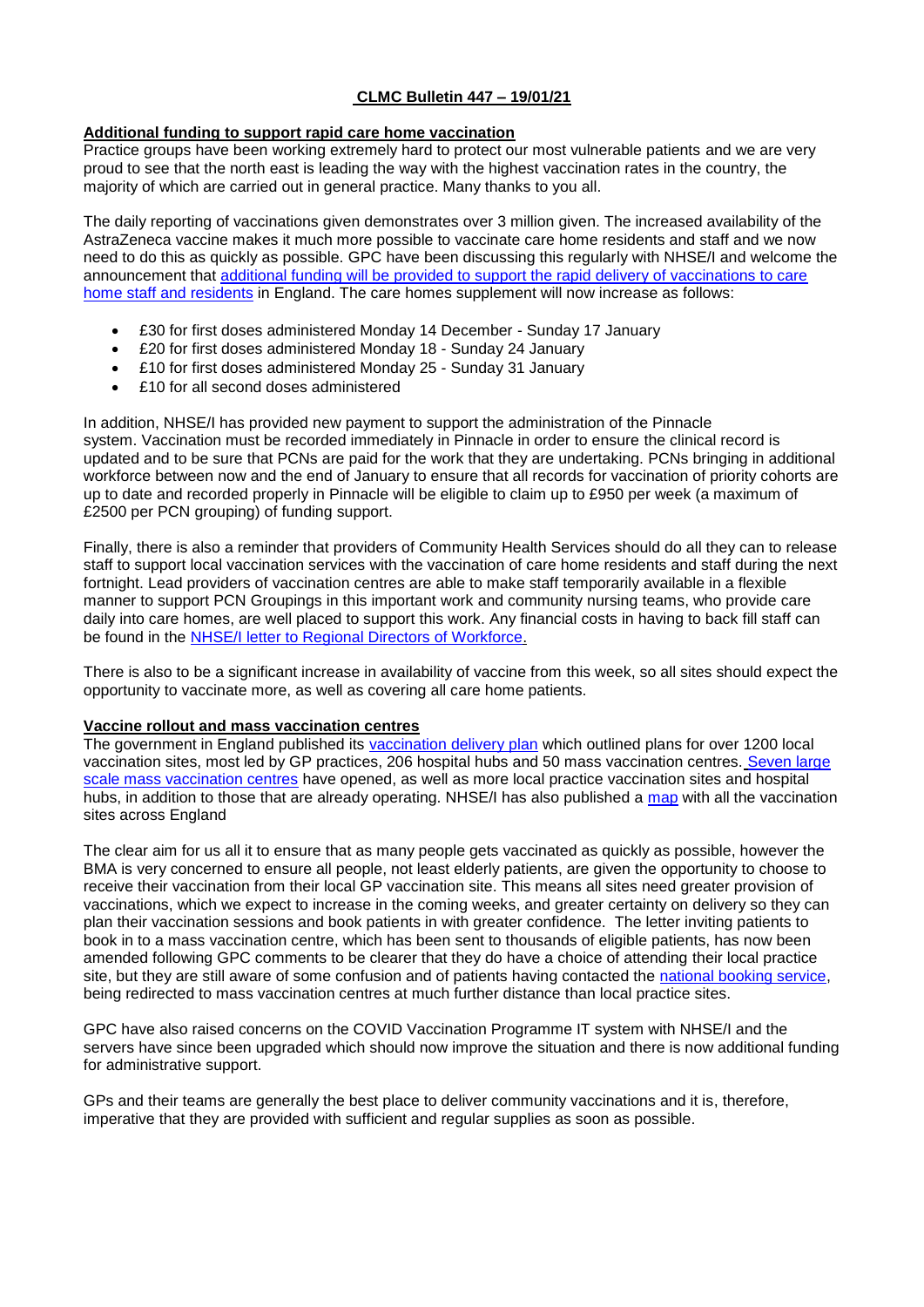## **CLMC Bulletin 447 – 19/01/21**

## **Additional funding to support rapid care home vaccination**

Practice groups have been working extremely hard to protect our most vulnerable patients and we are very proud to see that the north east is leading the way with the highest vaccination rates in the country, the majority of which are carried out in general practice. Many thanks to you all.

The daily reporting of vaccinations given demonstrates over 3 million given. The increased availability of the AstraZeneca vaccine makes it much more possible to vaccinate care home residents and staff and we now need to do this as quickly as possible. GPC have been discussing this regularly with NHSE/I and welcome the announcement that [additional funding will be provided to support the rapid delivery of vaccinations to care](https://www.england.nhs.uk/coronavirus/publication/covid-19-vaccination-in-older-adult-care-homes-the-next-stage/)  home [staff and residents](https://www.england.nhs.uk/coronavirus/publication/covid-19-vaccination-in-older-adult-care-homes-the-next-stage/) in England. The care homes supplement will now increase as follows:

- £30 for first doses administered Monday 14 December Sunday 17 January
- £20 for first doses administered Monday 18 Sunday 24 January
- £10 for first doses administered Monday 25 Sunday 31 January
- £10 for all second doses administered

In addition, NHSE/I has provided new payment to support the administration of the Pinnacle system. Vaccination must be recorded immediately in Pinnacle in order to ensure the clinical record is updated and to be sure that PCNs are paid for the work that they are undertaking. PCNs bringing in additional workforce between now and the end of January to ensure that all records for vaccination of priority cohorts are up to date and recorded properly in Pinnacle will be eligible to claim up to £950 per week (a maximum of £2500 per PCN grouping) of funding support.

Finally, there is also a reminder that providers of Community Health Services should do all they can to release staff to support local vaccination services with the vaccination of care home residents and staff during the next fortnight. Lead providers of vaccination centres are able to make staff temporarily available in a flexible manner to support PCN Groupings in this important work and community nursing teams, who provide care daily into care homes, are well placed to support this work. Any financial costs in having to back fill staff can be found in the [NHSE/I letter to Regional Directors of Workforce.](https://www.england.nhs.uk/coronavirus/wp-content/uploads/sites/52/2020/12/20201220-System-letter-PCN-workforce-deployment-FINAL.pdf)

There is also to be a significant increase in availability of vaccine from this week, so all sites should expect the opportunity to vaccinate more, as well as covering all care home patients.

## **Vaccine rollout and mass vaccination centres**

The government in England published its [vaccination delivery plan](https://www.gov.uk/government/publications/uk-covid-19-vaccines-delivery-plan) which outlined plans for over 1200 local vaccination sites, most led by GP practices, 206 hospital hubs and 50 mass vaccination centres. [Seven large](https://www.england.nhs.uk/2021/01/hundreds-of-thousands-invited-to-new-nhs-vaccination-centres/)  [scale mass vaccination centres](https://www.england.nhs.uk/2021/01/hundreds-of-thousands-invited-to-new-nhs-vaccination-centres/) have opened, as well as more local practice vaccination sites and hospital hubs, in addition to those that are already operating. NHSE/I has also published a [map](https://www.england.nhs.uk/coronavirus/wp-content/uploads/sites/52/2021/01/Map-showing-the-vaccination-services-across-the-country-11-January-2021-min.pdf) with all the vaccination sites across England

The clear aim for us all it to ensure that as many people gets vaccinated as quickly as possible, however the BMA is very concerned to ensure all people, not least elderly patients, are given the opportunity to choose to receive their vaccination from their local GP vaccination site. This means all sites need greater provision of vaccinations, which we expect to increase in the coming weeks, and greater certainty on delivery so they can plan their vaccination sessions and book patients in with greater confidence. The letter inviting patients to book in to a mass vaccination centre, which has been sent to thousands of eligible patients, has now been amended following GPC comments to be clearer that they do have a choice of attending their local practice site, but they are still aware of some confusion and of patients having contacted the [national booking service,](http://www.nhs.uk/covid-vaccination) being redirected to mass vaccination centres at much further distance than local practice sites.

GPC have also raised concerns on the COVID Vaccination Programme IT system with NHSE/I and the servers have since been upgraded which should now improve the situation and there is now additional funding for administrative support.

GPs and their teams are generally the best place to deliver community vaccinations and it is, therefore, imperative that they are provided with sufficient and regular supplies as soon as possible.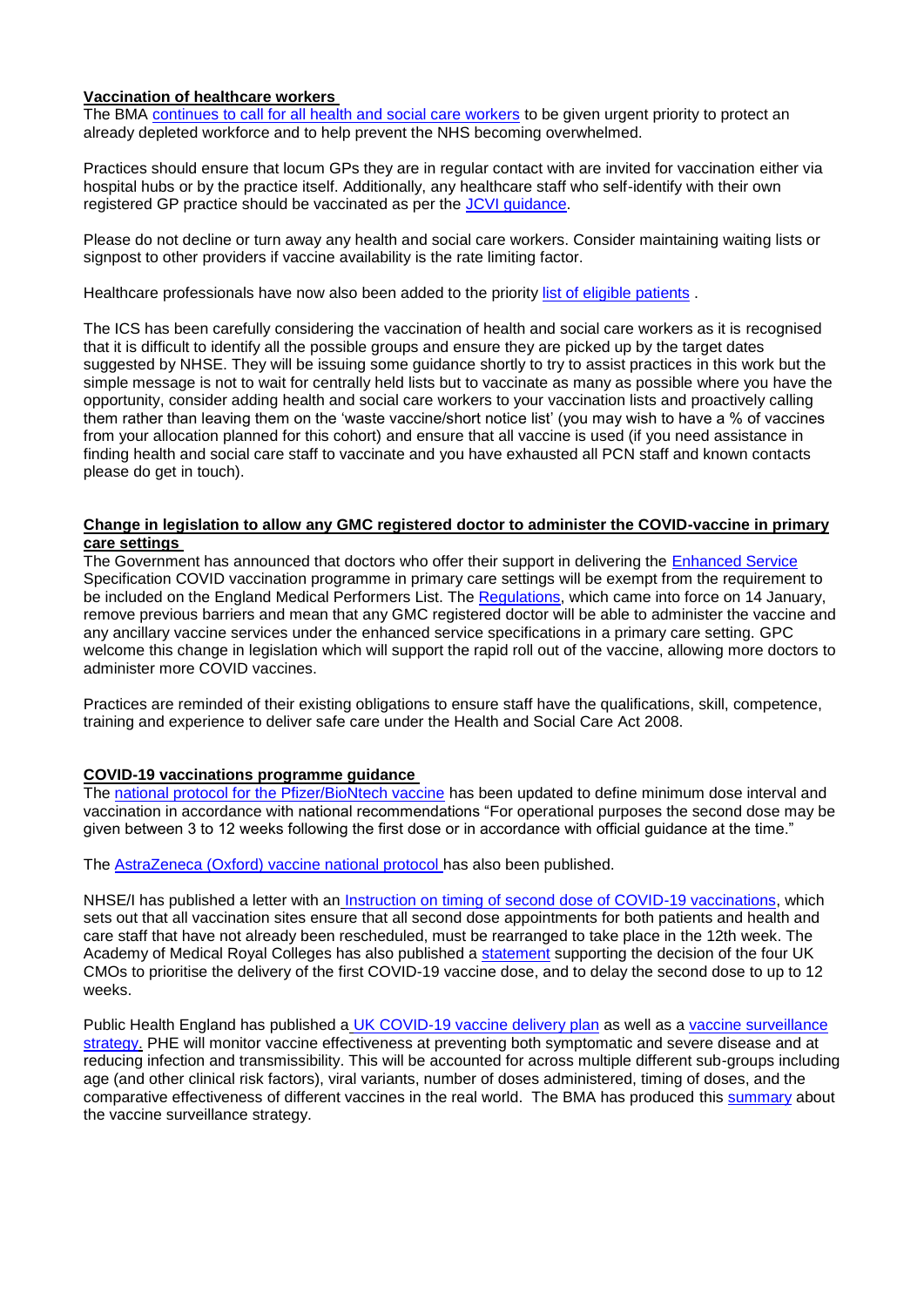### **Vaccination of healthcare workers**

The BMA [continues to call for all health and social care workers](https://www.bma.org.uk/news-and-opinion/vaccinate-frontline-staff-within-two-weeks-demands-bma) to be given urgent priority to protect an already depleted workforce and to help prevent the NHS becoming overwhelmed.

Practices should ensure that locum GPs they are in regular contact with are invited for vaccination either via hospital hubs or by the practice itself. Additionally, any healthcare staff who self-identify with their own registered GP practice should be vaccinated as per the [JCVI guidance.](https://assets.publishing.service.gov.uk/government/uploads/system/uploads/attachment_data/file/948338/jcvi-advice-on-priority-groups-for-covid-19-vaccination-30-dec-2020.pdf)

Please do not decline or turn away any health and social care workers. Consider maintaining waiting lists or signpost to other providers if vaccine availability is the rate limiting factor.

Healthcare professionals have now also been added to the priorit[y list of eligible patients](https://www.nhs.uk/conditions/coronavirus-covid-19/coronavirus-vaccination/coronavirus-vaccine/).

The ICS has been carefully considering the vaccination of health and social care workers as it is recognised that it is difficult to identify all the possible groups and ensure they are picked up by the target dates suggested by NHSE. They will be issuing some guidance shortly to try to assist practices in this work but the simple message is not to wait for centrally held lists but to vaccinate as many as possible where you have the opportunity, consider adding health and social care workers to your vaccination lists and proactively calling them rather than leaving them on the 'waste vaccine/short notice list' (you may wish to have a % of vaccines from your allocation planned for this cohort) and ensure that all vaccine is used (if you need assistance in finding health and social care staff to vaccinate and you have exhausted all PCN staff and known contacts please do get in touch).

#### **Change in legislation to allow any GMC registered doctor to administer the COVID-vaccine in primary care settings**

The Government has announced that doctors who offer their support in delivering the [Enhanced Service](https://www.england.nhs.uk/coronavirus/publication/ess-vaccination-programme/) Specification COVID vaccination programme in primary care settings will be exempt from the requirement to be included on the England Medical Performers List. The [Regulations,](https://www.legislation.gov.uk/uksi/2021/30/contents/made) which came into force on 14 January, remove previous barriers and mean that any GMC registered doctor will be able to administer the vaccine and any ancillary vaccine services under the enhanced service specifications in a primary care setting. GPC welcome this change in legislation which will support the rapid roll out of the vaccine, allowing more doctors to administer more COVID vaccines.

Practices are reminded of their existing obligations to ensure staff have the qualifications, skill, competence, training and experience to deliver safe care under the Health and Social Care Act 2008.

## **COVID-19 vaccinations programme guidance**

The [national protocol for the Pfizer/BioNtech vaccine](https://www.gov.uk/government/publications/national-protocol-for-covid-19-mrna-vaccine-bnt162b2-pfizerbiontech) has been updated to define minimum dose interval and vaccination in accordance with national recommendations "For operational purposes the second dose may be given between 3 to 12 weeks following the first dose or in accordance with official guidance at the time."

The [AstraZeneca \(Oxford\) vaccine national protocol h](https://www.gov.uk/government/publications/national-protocol-for-covid-19-vaccine-astrazeneca-chadox1-s-recombinant)as also been published.

NHSE/I has published a letter with an [Instruction on timing of second dose of COVID-19 vaccinations,](https://www.england.nhs.uk/coronavirus/wp-content/uploads/sites/52/2021/01/C1039-letter-instruction-on-timing-of-second-dose-of-covid-19-vaccinations-11-jan-21.pdf) which sets out that all vaccination sites ensure that all second dose appointments for both patients and health and care staff that have not already been rescheduled, must be rearranged to take place in the 12th week. The Academy of Medical Royal Colleges has also published a [statement](https://www.aomrc.org.uk/statements/covid-19-vaccination-and-second-doses-academy-statement/) supporting the decision of the four UK CMOs to prioritise the delivery of the first COVID-19 vaccine dose, and to delay the second dose to up to 12 weeks.

Public Health England has published a [UK COVID-19 vaccine delivery plan](https://www.gov.uk/government/publications/uk-covid-19-vaccines-delivery-plan) as well as a vaccine surveillance [strategy.](https://assets.publishing.service.gov.uk/government/uploads/system/uploads/attachment_data/file/951189/COVID-19_vaccine_surveillance_strategy.pdf) PHE will monitor vaccine effectiveness at preventing both symptomatic and severe disease and at reducing infection and transmissibility. This will be accounted for across multiple different sub-groups including age (and other clinical risk factors), viral variants, number of doses administered, timing of doses, and the comparative effectiveness of different vaccines in the real world. The BMA has produced this [summary](https://www.clevelandlmc.org.uk/website/IGP367/files/phe%20vac.pdf) about the vaccine surveillance strategy.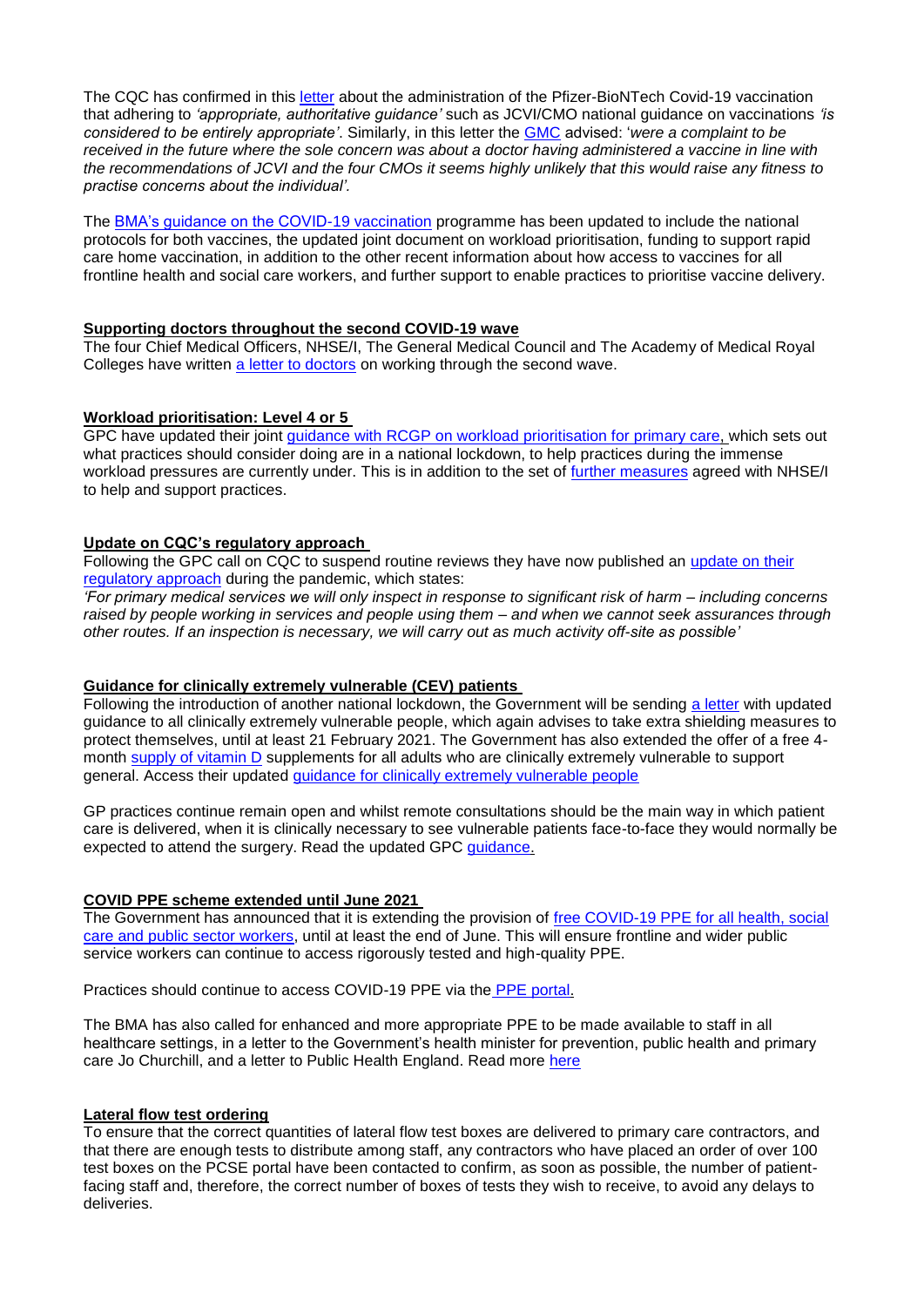The CQC has confirmed in this [letter](https://www.clevelandlmc.org.uk/website/IGP367/files/cqc.pdf) about the administration of the Pfizer-BioNTech Covid-19 vaccination that adhering to *'appropriate, authoritative guidance'* such as JCVI/CMO national guidance on vaccinations *'is considered to be entirely appropriate'*. Similarly, in this letter the [GMC](https://www.clevelandlmc.org.uk/website/IGP367/files/gmc.pdf) advised: '*were a complaint to be received in the future where the sole concern was about a doctor having administered a vaccine in line with the recommendations of JCVI and the four CMOs it seems highly unlikely that this would raise any fitness to practise concerns about the individual'.*

The [BMA's guidance on the COVID-19 vaccination](https://www.bma.org.uk/advice-and-support/covid-19/gp-practices/covid-19-vaccination-programme) programme has been updated to include the national protocols for both vaccines, the updated joint document on workload prioritisation, funding to support rapid care home vaccination, in addition to the other recent information about how access to vaccines for all frontline health and social care workers, and further support to enable practices to prioritise vaccine delivery.

### **Supporting doctors throughout the second COVID-19 wave**

The four Chief Medical Officers, NHSE/I, The General Medical Council and The Academy of Medical Royal Colleges have written [a letter to doctors](https://www.cas.mhra.gov.uk/ViewandAcknowledgment/ViewAlert.aspx?AlertID=103135) on working through the second wave.

# **Workload prioritisation: Level 4 or 5**

GPC have updated their joint [guidance with RCGP on workload prioritisation for primary care,](https://www.bma.org.uk/media/3654/bma-rcgp-covid-workload-prioritisation-nov-2020.pdf?la=en#workload) which sets out what practices should consider doing are in a national lockdown, to help practices during the immense workload pressures are currently under. This is in addition to the set of [further measures](https://www.england.nhs.uk/coronavirus/wp-content/uploads/sites/52/2020/03/C1026_Freeing-up-GP-practices-letter_070121.pdf) agreed with NHSE/I to help and support practices.

### **Update on CQC's regulatory approach**

Following the GPC call on CQC to suspend routine reviews they have now published an [update on their](https://www.cqc.org.uk/news/stories/update-cqcs-regulatory-approach)  [regulatory approach](https://www.cqc.org.uk/news/stories/update-cqcs-regulatory-approach) during the pandemic, which states:

*'For primary medical services we will only inspect in response to significant risk of harm – including concerns raised by people working in services and people using them – and when we cannot seek assurances through other routes. If an inspection is necessary, we will carry out as much activity off-site as possible'*

## **Guidance for clinically extremely vulnerable (CEV) patients**

Following the introduction of another national lockdown, the Government will be sending [a letter](https://www.gov.uk/government/publications/covid-19-letters-to-clinically-extremely-vulnerable-people) with updated guidance to all clinically extremely vulnerable people, which again advises to take extra shielding measures to protect themselves, until at least 21 February 2021. The Government has also extended the offer of a free 4 month [supply of vitamin D](https://www.gov.uk/government/news/at-risk-groups-to-receive-free-winter-supply-of-vitamin-d) supplements for all adults who are clinically extremely vulnerable to support general. Access their updated [guidance for clinically extremely vulnerable people](https://www.gov.uk/government/publications/guidance-on-shielding-and-protecting-extremely-vulnerable-persons-from-covid-19)

GP practices continue remain open and whilst remote consultations should be the main way in which patient care is delivered, when it is clinically necessary to see vulnerable patients face-to-face they would normally be expected to attend the surgery. Read the updated GPC [guidance.](https://www.bma.org.uk/advice-and-support/covid-19/gp-practices/covid-19-toolkit-for-gps-and-gp-practices/protecting-clinically-extremely-vulnerable-cev-patients-formerly-shielding)

## **COVID PPE scheme extended until June 2021**

The Government has announced that it is extending the provision of [free COVID-19 PPE for all health, social](https://www.gov.uk/guidance/ppe-portal-how-to-order-covid-19-personal-protective-equipment)  [care and public sector workers,](https://www.gov.uk/guidance/ppe-portal-how-to-order-covid-19-personal-protective-equipment) until at least the end of June. This will ensure frontline and wider public service workers can continue to access rigorously tested and high-quality PPE.

Practices should continue to access COVID-19 PPE via the [PPE portal.](https://nhs-ppe.co.uk/customer/authentication)

The BMA has also called for enhanced and more appropriate PPE to be made available to staff in all healthcare settings, in a letter to the Government's health minister for prevention, public health and primary care Jo Churchill, and a letter to Public Health England. Read more [here](https://www.bma.org.uk/news-and-opinion/call-for-enhanced-ppe)

## **Lateral flow test ordering**

To ensure that the correct quantities of lateral flow test boxes are delivered to primary care contractors, and that there are enough tests to distribute among staff, any contractors who have placed an order of over 100 test boxes on the PCSE portal have been contacted to confirm, as soon as possible, the number of patientfacing staff and, therefore, the correct number of boxes of tests they wish to receive, to avoid any delays to deliveries.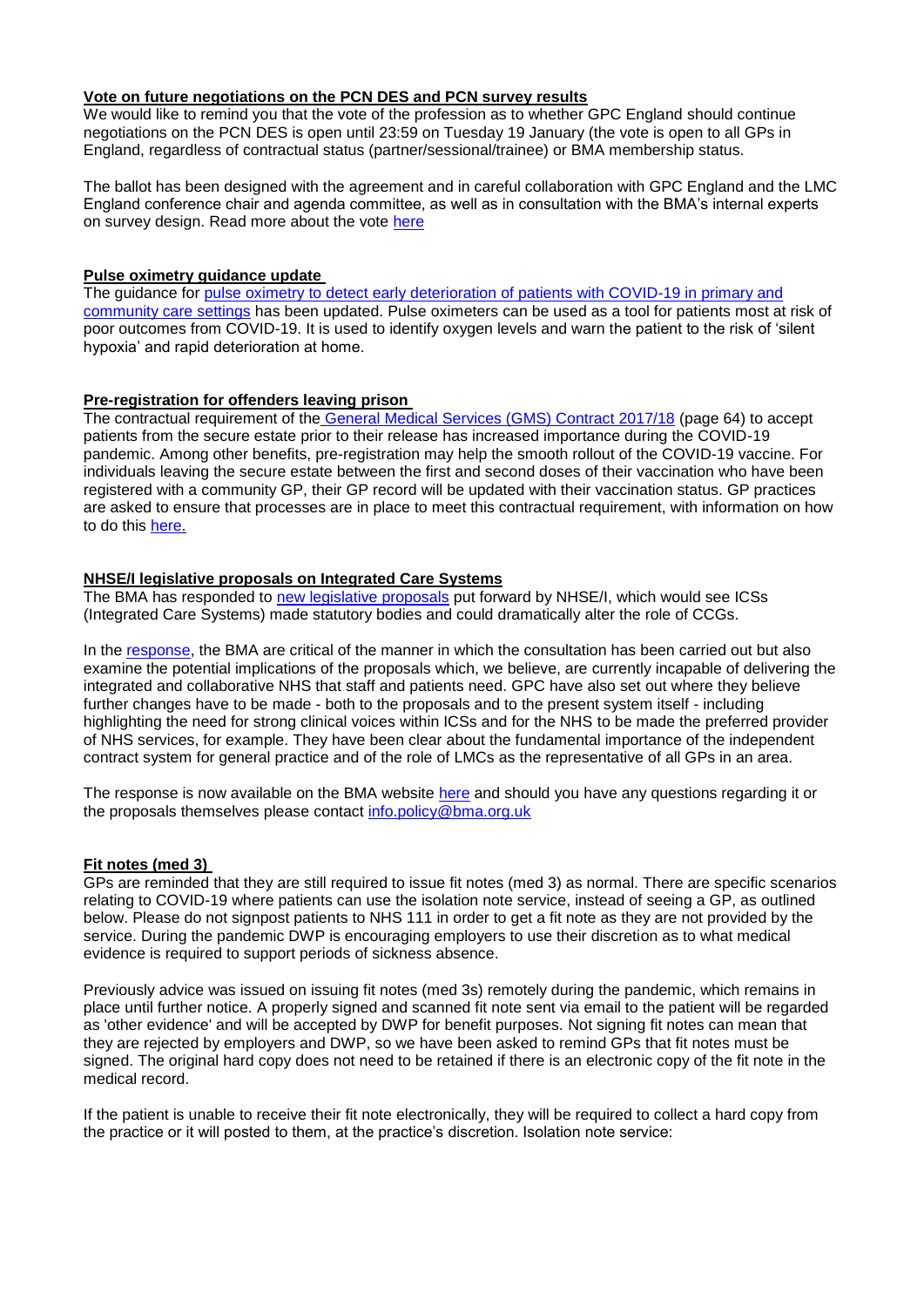### **Vote on future negotiations on the PCN DES and PCN survey results**

We would like to remind you that the vote of the profession as to whether GPC England should continue negotiations on the PCN DES is open until 23:59 on Tuesday 19 January (the vote is open to all GPs in England, regardless of contractual status (partner/sessional/trainee) or BMA membership status.

The ballot has been designed with the agreement and in careful collaboration with GPC England and the LMC England conference chair and agenda committee, as well as in consultation with the BMA's internal experts on survey design. Read more about the vote [here](https://www.bma.org.uk/PCNDES)

### **Pulse oximetry guidance update**

The guidance for pulse oximetry to detect early deterioration of patients with COVID-19 in primary and [community care settings](https://www.england.nhs.uk/coronavirus/publication/pulse-oximetry-to-detect-early-deterioration-of-patients-with-covid-19-in-primary-and-community-care-settings/) has been updated. Pulse oximeters can be used as a tool for patients most at risk of poor outcomes from COVID-19. It is used to identify oxygen levels and warn the patient to the risk of 'silent hypoxia' and rapid deterioration at home.

## **Pre-registration for offenders leaving prison**

The contractual requirement of the [General Medical Services \(GMS\) Contract 2017/18](https://www.england.nhs.uk/wp-content/uploads/2018/01/17-18-gms-contract.pdf) (page 64) to accept patients from the secure estate prior to their release has increased importance during the COVID-19 pandemic. Among other benefits, pre-registration may help the smooth rollout of the COVID-19 vaccine. For individuals leaving the secure estate between the first and second doses of their vaccination who have been registered with a community GP, their GP record will be updated with their vaccination status. GP practices are asked to ensure that processes are in place to meet this contractual requirement, with information on how to do this [here.](https://www.england.nhs.uk/publication/process-for-registering-patients-prior-to-their-release-from-prison/)

### **NHSE/I legislative proposals on Integrated Care Systems**

The BMA has responded to [new legislative proposals](https://www.england.nhs.uk/wp-content/uploads/2020/11/261120-item-5-integrating-care-next-steps-for-integrated-care-systems.pdf) put forward by NHSE/I, which would see ICSs (Integrated Care Systems) made statutory bodies and could dramatically alter the role of CCGs.

In the [response,](https://www.bma.org.uk/media/3650/bma-consultation-response-integrated-care-systems-england-jan-2021.pdf) the BMA are critical of the manner in which the consultation has been carried out but also examine the potential implications of the proposals which, we believe, are currently incapable of delivering the integrated and collaborative NHS that staff and patients need. GPC have also set out where they believe further changes have to be made - both to the proposals and to the present system itself - including highlighting the need for strong clinical voices within ICSs and for the NHS to be made the preferred provider of NHS services, for example. They have been clear about the fundamental importance of the independent contract system for general practice and of the role of LMCs as the representative of all GPs in an area.

The response is now available on the BMA website [here](https://www.bma.org.uk/media/3650/bma-consultation-response-integrated-care-systems-england-jan-2021.pdf) and should you have any questions regarding it or the proposals themselves please contact [info.policy@bma.org.uk](mailto:info.policy@bma.org.uk)

## **Fit notes (med 3)**

GPs are reminded that they are still required to issue fit notes (med 3) as normal. There are specific scenarios relating to COVID-19 where patients can use the isolation note service, instead of seeing a GP, as outlined below. Please do not signpost patients to NHS 111 in order to get a fit note as they are not provided by the service. During the pandemic DWP is encouraging employers to use their discretion as to what medical evidence is required to support periods of sickness absence.

Previously advice was issued on issuing fit notes (med 3s) remotely during the pandemic, which remains in place until further notice. A properly signed and scanned fit note sent via email to the patient will be regarded as 'other evidence' and will be accepted by DWP for benefit purposes. Not signing fit notes can mean that they are rejected by employers and DWP, so we have been asked to remind GPs that fit notes must be signed. The original hard copy does not need to be retained if there is an electronic copy of the fit note in the medical record.

If the patient is unable to receive their fit note electronically, they will be required to collect a hard copy from the practice or it will posted to them, at the practice's discretion. Isolation note service: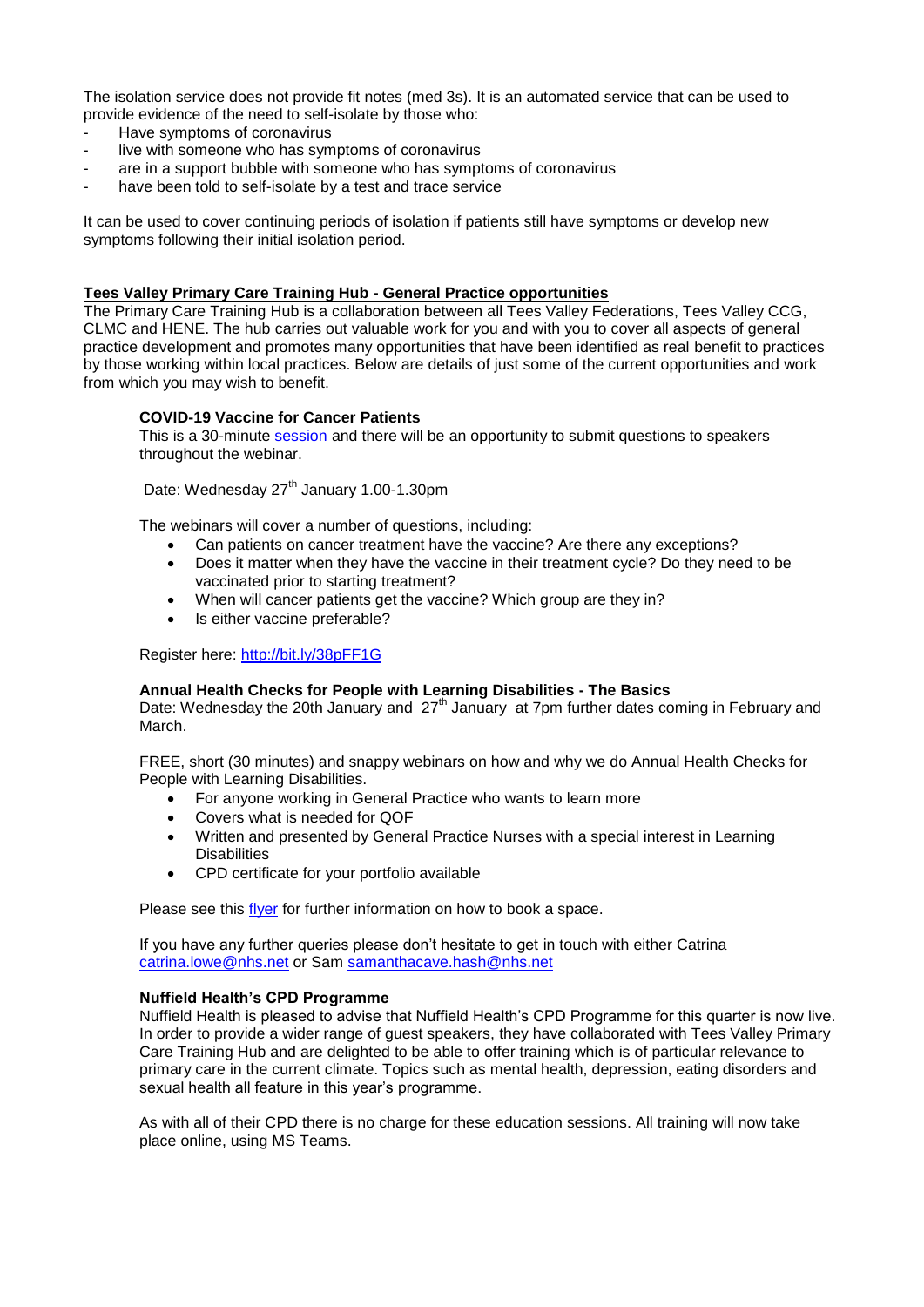The isolation service does not provide fit notes (med 3s). It is an automated service that can be used to provide evidence of the need to self-isolate by those who:

- Have symptoms of coronavirus
- live with someone who has symptoms of coronavirus
- are in a support bubble with someone who has symptoms of coronavirus
- have been told to self-isolate by a test and trace service

It can be used to cover continuing periods of isolation if patients still have symptoms or develop new symptoms following their initial isolation period.

#### **Tees Valley Primary Care Training Hub - General Practice opportunities**

The Primary Care Training Hub is a collaboration between all Tees Valley Federations, Tees Valley CCG, CLMC and HENE. The hub carries out valuable work for you and with you to cover all aspects of general practice development and promotes many opportunities that have been identified as real benefit to practices by those working within local practices. Below are details of just some of the current opportunities and work from which you may wish to benefit.

### **COVID-19 Vaccine for Cancer Patients**

This is a 30-minute [session](https://www.clevelandlmc.org.uk/website/IGP367/files/covid.pdf) and there will be an opportunity to submit questions to speakers throughout the webinar.

Date: Wednesday 27<sup>th</sup> January 1.00-1.30pm

The webinars will cover a number of questions, including:

- Can patients on cancer treatment have the vaccine? Are there any exceptions?
- Does it matter when they have the vaccine in their treatment cycle? Do they need to be vaccinated prior to starting treatment?
- When will cancer patients get the vaccine? Which group are they in?
- Is either vaccine preferable?

Register here: <http://bit.ly/38pFF1G>

#### **Annual Health Checks for People with Learning Disabilities - The Basics**

Date: Wednesday the 20th January and 27<sup>th</sup> January at 7pm further dates coming in February and March.

FREE, short (30 minutes) and snappy webinars on how and why we do Annual Health Checks for People with Learning Disabilities.

- For anyone working in General Practice who wants to learn more
- Covers what is needed for QOF
- Written and presented by General Practice Nurses with a special interest in Learning **Disabilities**
- CPD certificate for your portfolio available

Please see this [flyer](https://www.clevelandlmc.org.uk/website/IGP367/files/ld%20trainig.pdf) for further information on how to book a space.

If you have any further queries please don't hesitate to get in touch with either Catrina [catrina.lowe@nhs.net](mailto:catrina.lowe@nhs.net) or Sam [samanthacave.hash@nhs.net](mailto:samanthacave.hash@nhs.net)

#### **Nuffield Health's CPD Programme**

Nuffield Health is pleased to advise that Nuffield Health's CPD Programme for this quarter is now live. In order to provide a wider range of guest speakers, they have collaborated with Tees Valley Primary Care Training Hub and are delighted to be able to offer training which is of particular relevance to primary care in the current climate. Topics such as mental health, depression, eating disorders and sexual health all feature in this year's programme.

As with all of their CPD there is no charge for these education sessions. All training will now take place online, using MS Teams.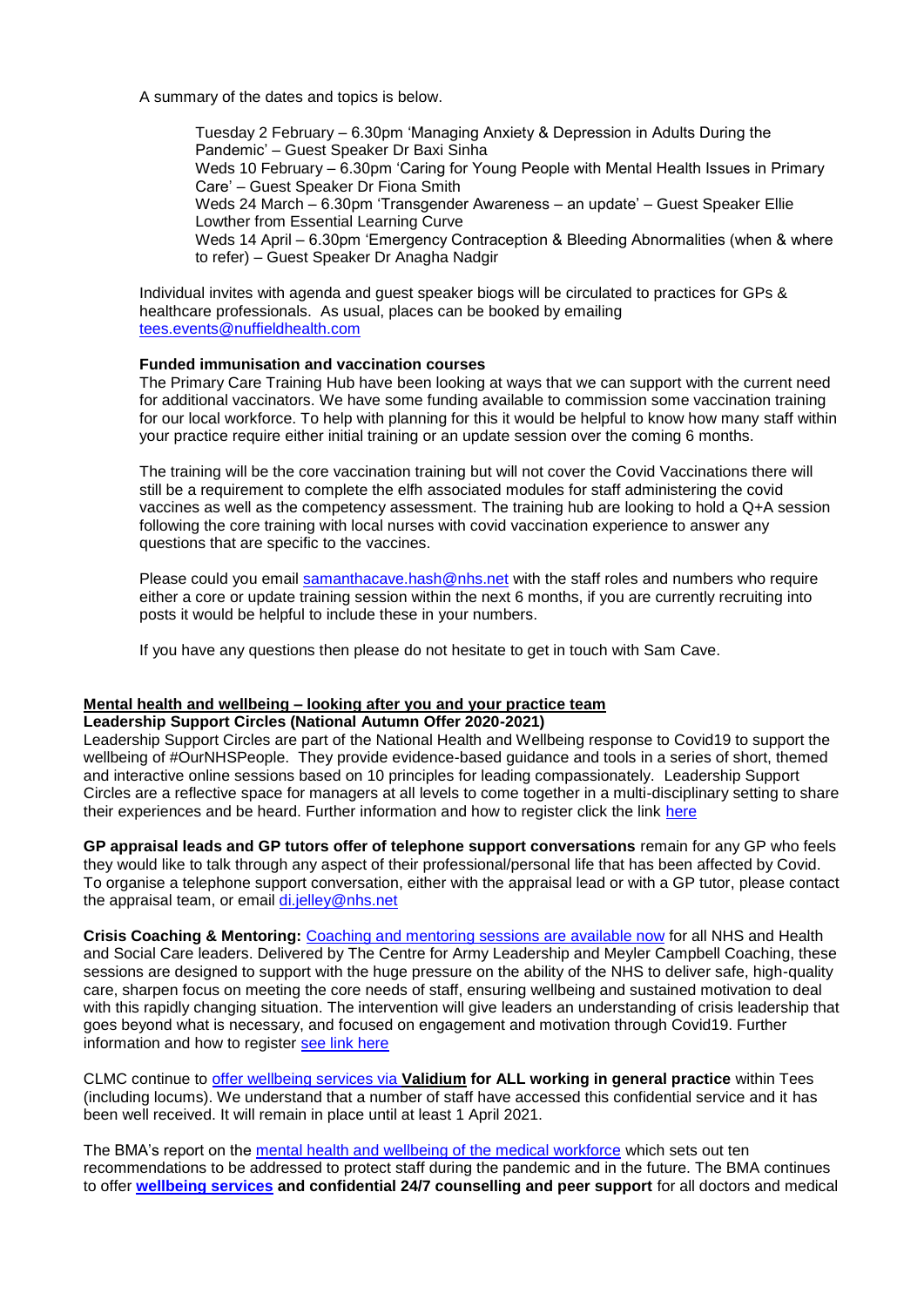A summary of the dates and topics is below.

Tuesday 2 February – 6.30pm 'Managing Anxiety & Depression in Adults During the Pandemic' – Guest Speaker Dr Baxi Sinha Weds 10 February – 6.30pm 'Caring for Young People with Mental Health Issues in Primary Care' – Guest Speaker Dr Fiona Smith Weds 24 March – 6.30pm 'Transgender Awareness – an update' – Guest Speaker Ellie Lowther from Essential Learning Curve Weds 14 April – 6.30pm 'Emergency Contraception & Bleeding Abnormalities (when & where to refer) – Guest Speaker Dr Anagha Nadgir

Individual invites with agenda and guest speaker biogs will be circulated to practices for GPs & healthcare professionals. As usual, places can be booked by emailing [tees.events@nuffieldhealth.com](mailto:tees.events@nuffieldhealth.com)

## **Funded immunisation and vaccination courses**

The Primary Care Training Hub have been looking at ways that we can support with the current need for additional vaccinators. We have some funding available to commission some vaccination training for our local workforce. To help with planning for this it would be helpful to know how many staff within your practice require either initial training or an update session over the coming 6 months.

The training will be the core vaccination training but will not cover the Covid Vaccinations there will still be a requirement to complete the elfh associated modules for staff administering the covid vaccines as well as the competency assessment. The training hub are looking to hold a Q+A session following the core training with local nurses with covid vaccination experience to answer any questions that are specific to the vaccines.

Please could you email [samanthacave.hash@nhs.net](mailto:samanthacave.hash@nhs.net) with the staff roles and numbers who require either a core or update training session within the next 6 months, if you are currently recruiting into posts it would be helpful to include these in your numbers.

If you have any questions then please do not hesitate to get in touch with Sam Cave.

### **Mental health and wellbeing – looking after you and your practice team**

**Leadership Support Circles (National Autumn Offer 2020-2021)**

Leadership Support Circles are part of the National Health and Wellbeing response to Covid19 to support the wellbeing of #OurNHSPeople. They provide evidence-based guidance and tools in a series of short, themed and interactive online sessions based on 10 principles for leading compassionately. Leadership Support Circles are a reflective space for managers at all levels to come together in a multi-disciplinary setting to share their experiences and be heard. Further information and how to register click the link [here](https://people.nhs.uk/event/leadership-circles-autumn-series/)

**GP appraisal leads and GP tutors offer of telephone support conversations** remain for any GP who feels they would like to talk through any aspect of their professional/personal life that has been affected by Covid. To organise a telephone support conversation, either with the appraisal lead or with a GP tutor, please contact the appraisal team, or email [di.jelley@nhs.net](mailto:di.jelley@nhs.net)

**Crisis Coaching & Mentoring:** [Coaching and mentoring sessions are available now](https://nhs.us5.list-manage.com/track/click?u=2bb00c8eecef5a74724810a2d&id=5697e08ec5&e=1f76f620d3) for all NHS and Health and Social Care leaders. Delivered by The Centre for Army Leadership and Meyler Campbell Coaching, these sessions are designed to support with the huge pressure on the ability of the NHS to deliver safe, high-quality care, sharpen focus on meeting the core needs of staff, ensuring wellbeing and sustained motivation to deal with this rapidly changing situation. The intervention will give leaders an understanding of crisis leadership that goes beyond what is necessary, and focused on engagement and motivation through Covid19. Further information and how to register [see link here](https://people.nhs.uk/support-for-leaders/coaching-and-mentoring-for-leaders/)

CLMC continue to [offer wellbeing services via](https://www.clevelandlmc.org.uk/page1.aspx?p=20&t=2) **Validium for ALL working in general practice** within Tees (including locums). We understand that a number of staff have accessed this confidential service and it has been well received. It will remain in place until at least 1 April 2021.

The BMA's report on the [mental health and wellbeing of the medical workforce](https://www.bma.org.uk/advice-and-support/nhs-delivery-and-workforce/mental-health-of-doctors-and-medical-students/improving-the-mental-wellbeing-of-doctors-and-medical-students) which sets out ten recommendations to be addressed to protect staff during the pandemic and in the future. The BMA continues to offer **[wellbeing services](https://www.bma.org.uk/advice-and-support/your-wellbeing#wellbeing-support-services) and confidential 24/7 counselling and peer support** for all doctors and medical